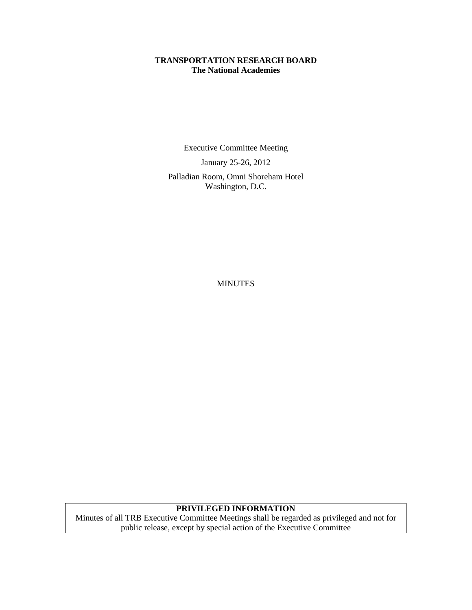### **TRANSPORTATION RESEARCH BOARD The National Academies**

Executive Committee Meeting

January 25-26, 2012

Palladian Room, Omni Shoreham Hotel Washington, D.C.

MINUTES

# **PRIVILEGED INFORMATION**

Minutes of all TRB Executive Committee Meetings shall be regarded as privileged and not for public release, except by special action of the Executive Committee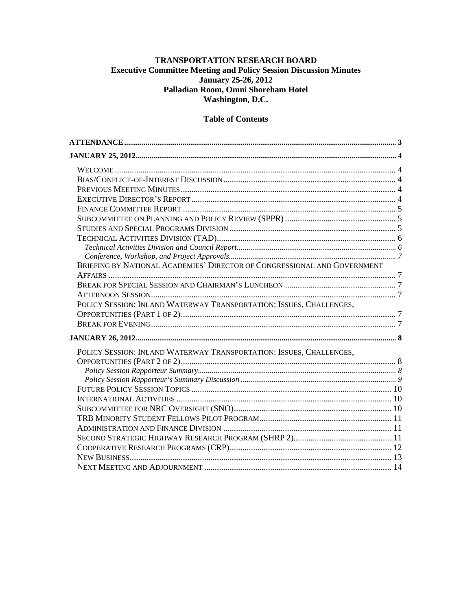### TRANSPORTATION RESEARCH BOARD **Executive Committee Meeting and Policy Session Discussion Minutes** January 25-26, 2012 Palladian Room, Omni Shoreham Hotel Washington, D.C.

## **Table of Contents**

| BRIEFING BY NATIONAL ACADEMIES' DIRECTOR OF CONGRESSIONAL AND GOVERNMENT |  |
|--------------------------------------------------------------------------|--|
|                                                                          |  |
|                                                                          |  |
|                                                                          |  |
| POLICY SESSION: INLAND WATERWAY TRANSPORTATION: ISSUES, CHALLENGES,      |  |
|                                                                          |  |
|                                                                          |  |
|                                                                          |  |
| POLICY SESSION: INLAND WATERWAY TRANSPORTATION: ISSUES, CHALLENGES,      |  |
|                                                                          |  |
|                                                                          |  |
|                                                                          |  |
|                                                                          |  |
|                                                                          |  |
|                                                                          |  |
|                                                                          |  |
|                                                                          |  |
|                                                                          |  |
|                                                                          |  |
|                                                                          |  |
|                                                                          |  |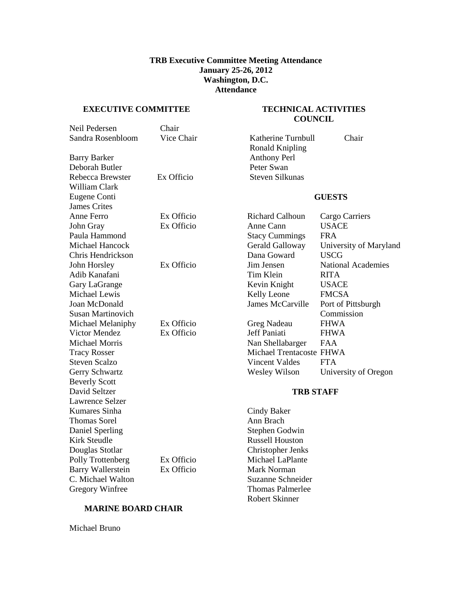#### **TRB Executive Committee Meeting Attendance January 25-26, 2012 Washington, D.C. Attendance**

#### <span id="page-2-0"></span>**EXECUTIVE COMMITTEE**

#### **TECHNICAL ACTIVITIES COUNCIL**

| Neil Pedersen            | Chair      |                          |                           |
|--------------------------|------------|--------------------------|---------------------------|
| Sandra Rosenbloom        | Vice Chair | Katherine Turnbull       | Chair                     |
|                          |            | <b>Ronald Knipling</b>   |                           |
| <b>Barry Barker</b>      |            | <b>Anthony Perl</b>      |                           |
| Deborah Butler           |            | Peter Swan               |                           |
| Rebecca Brewster         | Ex Officio | <b>Steven Silkunas</b>   |                           |
| William Clark            |            |                          |                           |
| Eugene Conti             |            | <b>GUESTS</b>            |                           |
| <b>James Crites</b>      |            |                          |                           |
| Anne Ferro               | Ex Officio | <b>Richard Calhoun</b>   | Cargo Carriers            |
| John Gray                | Ex Officio | Anne Cann                | <b>USACE</b>              |
| Paula Hammond            |            | <b>Stacy Cummings</b>    | <b>FRA</b>                |
| Michael Hancock          |            | Gerald Galloway          | University of Maryland    |
| Chris Hendrickson        |            | Dana Goward              | <b>USCG</b>               |
| John Horsley             | Ex Officio | Jim Jensen               | <b>National Academies</b> |
| Adib Kanafani            |            | Tim Klein                | <b>RITA</b>               |
| Gary LaGrange            |            | Kevin Knight             | <b>USACE</b>              |
| Michael Lewis            |            | Kelly Leone              | <b>FMCSA</b>              |
| Joan McDonald            |            | James McCarville         | Port of Pittsburgh        |
| Susan Martinovich        |            |                          | Commission                |
| Michael Melaniphy        | Ex Officio | Greg Nadeau              | <b>FHWA</b>               |
| Victor Mendez            | Ex Officio | Jeff Paniati             | <b>FHWA</b>               |
| <b>Michael Morris</b>    |            | Nan Shellabarger         | <b>FAA</b>                |
| <b>Tracy Rosser</b>      |            | Michael Trentacoste FHWA |                           |
| <b>Steven Scalzo</b>     |            | <b>Vincent Valdes</b>    | <b>FTA</b>                |
| Gerry Schwartz           |            | Wesley Wilson            | University of Oregon      |
| <b>Beverly Scott</b>     |            |                          |                           |
| David Seltzer            |            | <b>TRB STAFF</b>         |                           |
| Lawrence Selzer          |            |                          |                           |
| Kumares Sinha            |            | Cindy Baker              |                           |
| <b>Thomas Sorel</b>      |            | Ann Brach                |                           |
| Daniel Sperling          |            | Stephen Godwin           |                           |
| <b>Kirk Steudle</b>      |            | <b>Russell Houston</b>   |                           |
| Douglas Stotlar          |            | <b>Christopher Jenks</b> |                           |
| Polly Trottenberg        | Ex Officio | Michael LaPlante         |                           |
| <b>Barry Wallerstein</b> | Ex Officio | <b>Mark Norman</b>       |                           |
| C. Michael Walton        |            | Suzanne Schneider        |                           |
| <b>Gregory Winfree</b>   |            | <b>Thomas Palmerlee</b>  |                           |
|                          |            | <b>Robert Skinner</b>    |                           |

# **MARINE BOARD CHAIR**

Michael Bruno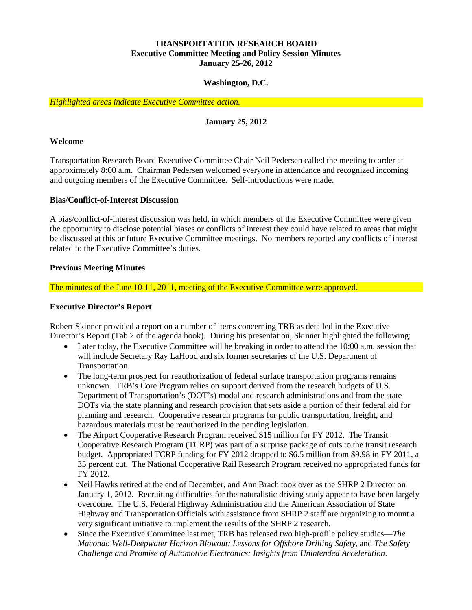### **TRANSPORTATION RESEARCH BOARD Executive Committee Meeting and Policy Session Minutes January 25-26, 2012**

#### **Washington, D.C.**

<span id="page-3-0"></span>*Highlighted areas indicate Executive Committee action.*

## **January 25, 2012**

#### <span id="page-3-1"></span>**Welcome**

Transportation Research Board Executive Committee Chair Neil Pedersen called the meeting to order at approximately 8:00 a.m. Chairman Pedersen welcomed everyone in attendance and recognized incoming and outgoing members of the Executive Committee. Self-introductions were made.

#### <span id="page-3-2"></span>**Bias/Conflict-of-Interest Discussion**

A bias/conflict-of-interest discussion was held, in which members of the Executive Committee were given the opportunity to disclose potential biases or conflicts of interest they could have related to areas that might be discussed at this or future Executive Committee meetings. No members reported any conflicts of interest related to the Executive Committee's duties.

#### <span id="page-3-3"></span>**Previous Meeting Minutes**

The minutes of the June 10-11, 2011, meeting of the Executive Committee were approved.

#### <span id="page-3-4"></span>**Executive Director's Report**

Robert Skinner provided a report on a number of items concerning TRB as detailed in the Executive Director's Report (Tab 2 of the agenda book). During his presentation, Skinner highlighted the following:

- Later today, the Executive Committee will be breaking in order to attend the 10:00 a.m. session that will include Secretary Ray LaHood and six former secretaries of the U.S. Department of Transportation.
- The long-term prospect for reauthorization of federal surface transportation programs remains unknown. TRB's Core Program relies on support derived from the research budgets of U.S. Department of Transportation's (DOT's) modal and research administrations and from the state DOTs via the state planning and research provision that sets aside a portion of their federal aid for planning and research. Cooperative research programs for public transportation, freight, and hazardous materials must be reauthorized in the pending legislation.
- The Airport Cooperative Research Program received \$15 million for FY 2012. The Transit Cooperative Research Program (TCRP) was part of a surprise package of cuts to the transit research budget. Appropriated TCRP funding for FY 2012 dropped to \$6.5 million from \$9.98 in FY 2011, a 35 percent cut. The National Cooperative Rail Research Program received no appropriated funds for FY 2012.
- Neil Hawks retired at the end of December, and Ann Brach took over as the SHRP 2 Director on January 1, 2012. Recruiting difficulties for the naturalistic driving study appear to have been largely overcome. The U.S. Federal Highway Administration and the American Association of State Highway and Transportation Officials with assistance from SHRP 2 staff are organizing to mount a very significant initiative to implement the results of the SHRP 2 research.
- Since the Executive Committee last met, TRB has released two high-profile policy studies—*The Macondo Well-Deepwater Horizon Blowout: Lessons for Offshore Drilling Safety,* and *The Safety Challenge and Promise of Automotive Electronics: Insights from Unintended Acceleration*.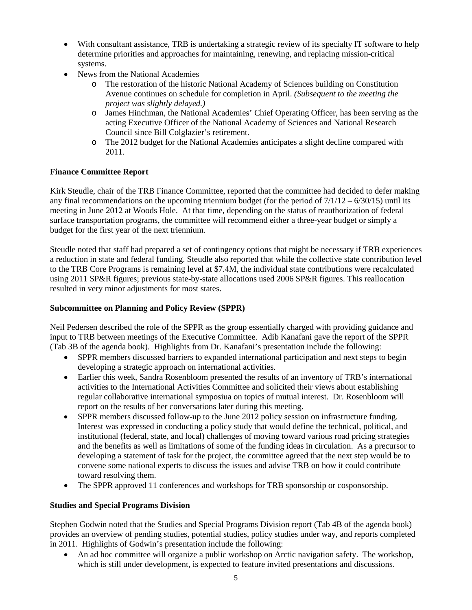- With consultant assistance, TRB is undertaking a strategic review of its specialty IT software to help determine priorities and approaches for maintaining, renewing, and replacing mission-critical systems.
- News from the National Academies
	- o The restoration of the historic National Academy of Sciences building on Constitution Avenue continues on schedule for completion in April. *(Subsequent to the meeting the project was slightly delayed.)*
	- o James Hinchman, the National Academies' Chief Operating Officer, has been serving as the acting Executive Officer of the National Academy of Sciences and National Research Council since Bill Colglazier's retirement.
	- o The 2012 budget for the National Academies anticipates a slight decline compared with 2011.

# <span id="page-4-0"></span>**Finance Committee Report**

Kirk Steudle, chair of the TRB Finance Committee, reported that the committee had decided to defer making any final recommendations on the upcoming triennium budget (for the period of  $7/1/12 - 6/30/15$ ) until its meeting in June 2012 at Woods Hole. At that time, depending on the status of reauthorization of federal surface transportation programs, the committee will recommend either a three-year budget or simply a budget for the first year of the next triennium.

Steudle noted that staff had prepared a set of contingency options that might be necessary if TRB experiences a reduction in state and federal funding. Steudle also reported that while the collective state contribution level to the TRB Core Programs is remaining level at \$7.4M, the individual state contributions were recalculated using 2011 SP&R figures; previous state-by-state allocations used 2006 SP&R figures. This reallocation resulted in very minor adjustments for most states.

## <span id="page-4-1"></span>**Subcommittee on Planning and Policy Review (SPPR)**

Neil Pedersen described the role of the SPPR as the group essentially charged with providing guidance and input to TRB between meetings of the Executive Committee. Adib Kanafani gave the report of the SPPR (Tab 3B of the agenda book). Highlights from Dr. Kanafani's presentation include the following:

- SPPR members discussed barriers to expanded international participation and next steps to begin developing a strategic approach on international activities.
- Earlier this week, Sandra Rosenbloom presented the results of an inventory of TRB's international activities to the International Activities Committee and solicited their views about establishing regular collaborative international symposiua on topics of mutual interest. Dr. Rosenbloom will report on the results of her conversations later during this meeting.
- SPPR members discussed follow-up to the June 2012 policy session on infrastructure funding. Interest was expressed in conducting a policy study that would define the technical, political, and institutional (federal, state, and local) challenges of moving toward various road pricing strategies and the benefits as well as limitations of some of the funding ideas in circulation. As a precursor to developing a statement of task for the project, the committee agreed that the next step would be to convene some national experts to discuss the issues and advise TRB on how it could contribute toward resolving them.
- The SPPR approved 11 conferences and workshops for TRB sponsorship or cosponsorship.

## <span id="page-4-2"></span>**Studies and Special Programs Division**

Stephen Godwin noted that the Studies and Special Programs Division report (Tab 4B of the agenda book) provides an overview of pending studies, potential studies, policy studies under way, and reports completed in 2011. Highlights of Godwin's presentation include the following:

• An ad hoc committee will organize a public workshop on Arctic navigation safety. The workshop, which is still under development, is expected to feature invited presentations and discussions.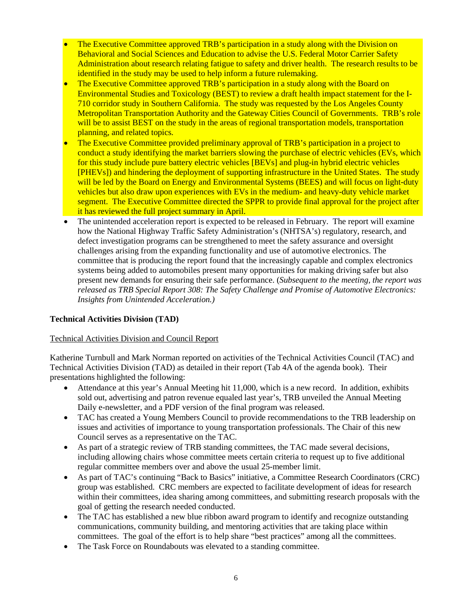- The Executive Committee approved TRB's participation in a study along with the Division on Behavioral and Social Sciences and Education to advise the U.S. Federal Motor Carrier Safety Administration about research relating fatigue to safety and driver health. The research results to be identified in the study may be used to help inform a future rulemaking.
- The Executive Committee approved TRB's participation in a study along with the Board on Environmental Studies and Toxicology (BEST) to review a draft health impact statement for the I-710 corridor study in Southern California. The study was requested by the Los Angeles County Metropolitan Transportation Authority and the Gateway Cities Council of Governments. TRB's role will be to assist BEST on the study in the areas of regional transportation models, transportation planning, and related topics.
- The Executive Committee provided preliminary approval of TRB's participation in a project to conduct a study identifying the market barriers slowing the purchase of electric vehicles (EVs, which for this study include pure battery electric vehicles [BEVs] and plug-in hybrid electric vehicles [PHEVs]) and hindering the deployment of supporting infrastructure in the United States. The study will be led by the Board on Energy and Environmental Systems (BEES) and will focus on light-duty vehicles but also draw upon experiences with EVs in the medium- and heavy-duty vehicle market segment. The Executive Committee directed the SPPR to provide final approval for the project after it has reviewed the full project summary in April.
- The unintended acceleration report is expected to be released in February. The report will examine how the National Highway Traffic Safety Administration's (NHTSA's) regulatory, research, and defect investigation programs can be strengthened to meet the safety assurance and oversight challenges arising from the expanding functionality and use of automotive electronics. The committee that is producing the report found that the increasingly capable and complex electronics systems being added to automobiles present many opportunities for making driving safer but also present new demands for ensuring their safe performance. (*Subsequent to the meeting, the report was released as TRB Special Report 308: The Safety Challenge and Promise of Automotive Electronics: Insights from Unintended Acceleration.)*

## <span id="page-5-0"></span>**Technical Activities Division (TAD)**

## <span id="page-5-1"></span>Technical Activities Division and Council Report

Katherine Turnbull and Mark Norman reported on activities of the Technical Activities Council (TAC) and Technical Activities Division (TAD) as detailed in their report (Tab 4A of the agenda book). Their presentations highlighted the following:

- Attendance at this year's Annual Meeting hit 11,000, which is a new record. In addition, exhibits sold out, advertising and patron revenue equaled last year's, TRB unveiled the Annual Meeting Daily e-newsletter, and a PDF version of the final program was released.
- TAC has created a Young Members Council to provide recommendations to the TRB leadership on issues and activities of importance to young transportation professionals. The Chair of this new Council serves as a representative on the TAC.
- As part of a strategic review of TRB standing committees, the TAC made several decisions, including allowing chairs whose committee meets certain criteria to request up to five additional regular committee members over and above the usual 25-member limit.
- As part of TAC's continuing "Back to Basics" initiative, a Committee Research Coordinators (CRC) group was established. CRC members are expected to facilitate development of ideas for research within their committees, idea sharing among committees, and submitting research proposals with the goal of getting the research needed conducted.
- The TAC has established a new blue ribbon award program to identify and recognize outstanding communications, community building, and mentoring activities that are taking place within committees. The goal of the effort is to help share "best practices" among all the committees.
- The Task Force on Roundabouts was elevated to a standing committee.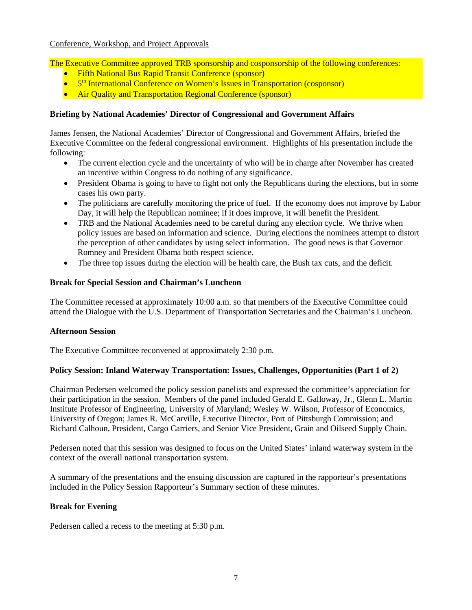<span id="page-6-0"></span>The Executive Committee approved TRB sponsorship and cosponsorship of the following conferences:

- Fifth National Bus Rapid Transit Conference (sponsor)
- 5<sup>th</sup> International Conference on Women's Issues in Transportation (cosponsor)
- Air Quality and Transportation Regional Conference (sponsor)

### <span id="page-6-1"></span>**Briefing by National Academies' Director of Congressional and Government Affairs**

James Jensen, the National Academies' Director of Congressional and Government Affairs, briefed the Executive Committee on the federal congressional environment. Highlights of his presentation include the following:

- The current election cycle and the uncertainty of who will be in charge after November has created an incentive within Congress to do nothing of any significance.
- President Obama is going to have to fight not only the Republicans during the elections, but in some cases his own party.
- The politicians are carefully monitoring the price of fuel. If the economy does not improve by Labor Day, it will help the Republican nominee; if it does improve, it will benefit the President.
- TRB and the National Academies need to be careful during any election cycle. We thrive when policy issues are based on information and science. During elections the nominees attempt to distort the perception of other candidates by using select information. The good news is that Governor Romney and President Obama both respect science.
- The three top issues during the election will be health care, the Bush tax cuts, and the deficit.

#### <span id="page-6-2"></span>**Break for Special Session and Chairman's Luncheon**

The Committee recessed at approximately 10:00 a.m. so that members of the Executive Committee could attend the Dialogue with the U.S. Department of Transportation Secretaries and the Chairman's Luncheon.

#### <span id="page-6-3"></span>**Afternoon Session**

The Executive Committee reconvened at approximately 2:30 p.m.

#### <span id="page-6-4"></span>**Policy Session: Inland Waterway Transportation: Issues, Challenges, Opportunities (Part 1 of 2)**

Chairman Pedersen welcomed the policy session panelists and expressed the committee's appreciation for their participation in the session. Members of the panel included Gerald E. Galloway, Jr., Glenn L. Martin Institute Professor of Engineering, University of Maryland; Wesley W. Wilson, Professor of Economics, University of Oregon; James R. McCarville, Executive Director, Port of Pittsburgh Commission; and Richard Calhoun, President, Cargo Carriers, and Senior Vice President, Grain and Oilseed Supply Chain.

Pedersen noted that this session was designed to focus on the United States' inland waterway system in the context of the overall national transportation system.

A summary of the presentations and the ensuing discussion are captured in the rapporteur's presentations included in the Policy Session Rapporteur's Summary section of these minutes.

#### <span id="page-6-5"></span>**Break for Evening**

Pedersen called a recess to the meeting at 5:30 p.m.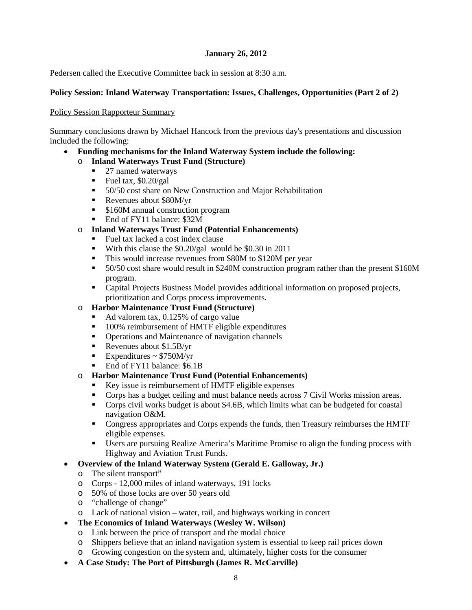#### **January 26, 2012**

<span id="page-7-0"></span>Pedersen called the Executive Committee back in session at 8:30 a.m.

#### <span id="page-7-1"></span>**Policy Session: Inland Waterway Transportation: Issues, Challenges, Opportunities (Part 2 of 2)**

#### <span id="page-7-2"></span>Policy Session Rapporteur Summary

Summary conclusions drawn by Michael Hancock from the previous day's presentations and discussion included the following:

- **Funding mechanisms for the Inland Waterway System include the following:**
	- o **Inland Waterways Trust Fund (Structure)**
		- 27 named waterways
		- Fuel tax,  $$0.20/gal$
		- 50/50 cost share on New Construction and Major Rehabilitation
		- Revenues about \$80M/yr
		- **S160M** annual construction program
		- End of FY11 balance: \$32M
	- o **Inland Waterways Trust Fund (Potential Enhancements)**
		- Fuel tax lacked a cost index clause
		- With this clause the \$0.20/gal would be \$0.30 in 2011
		- This would increase revenues from \$80M to \$120M per year
		- 50/50 cost share would result in \$240M construction program rather than the present \$160M program.
		- Capital Projects Business Model provides additional information on proposed projects, prioritization and Corps process improvements.

#### o **Harbor Maintenance Trust Fund (Structure)**

- Ad valorem tax, 0.125% of cargo value
- 100% reimbursement of HMTF eligible expenditures
- Operations and Maintenance of navigation channels
- Revenues about  $$1.5B/yr$
- Expenditures  $\sim$  \$750M/yr
- End of FY11 balance: \$6.1B

#### o **Harbor Maintenance Trust Fund (Potential Enhancements)**

- Key issue is reimbursement of HMTF eligible expenses
- Corps has a budget ceiling and must balance needs across 7 Civil Works mission areas.
- Corps civil works budget is about \$4.6B, which limits what can be budgeted for coastal navigation O&M.
- Congress appropriates and Corps expends the funds, then Treasury reimburses the HMTF eligible expenses.
- Users are pursuing Realize America's Maritime Promise to align the funding process with Highway and Aviation Trust Funds.

## • **Overview of the Inland Waterway System (Gerald E. Galloway, Jr.)**

- o The silent transport"
- o Corps 12,000 miles of inland waterways, 191 locks
- o 50% of those locks are over 50 years old
- o "challenge of change"
- o Lack of national vision water, rail, and highways working in concert

## • **The Economics of Inland Waterways (Wesley W. Wilson)**

- o Link between the price of transport and the modal choice
- o Shippers believe that an inland navigation system is essential to keep rail prices down
- o Growing congestion on the system and, ultimately, higher costs for the consumer
- **A Case Study: The Port of Pittsburgh (James R. McCarville)**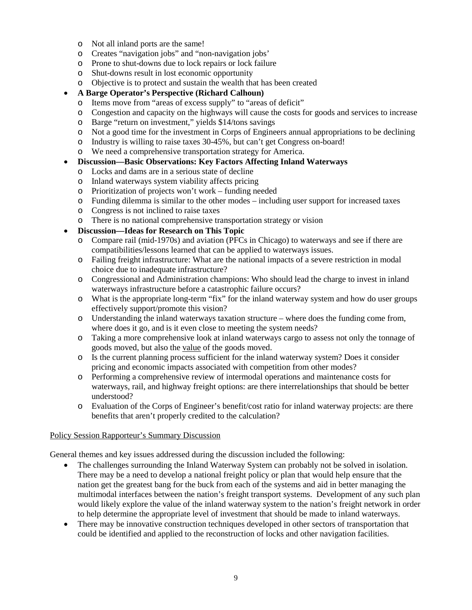- o Not all inland ports are the same!
- o Creates "navigation jobs" and "non-navigation jobs'
- o Prone to shut-downs due to lock repairs or lock failure
- o Shut-downs result in lost economic opportunity
- o Objective is to protect and sustain the wealth that has been created

### • **A Barge Operator's Perspective (Richard Calhoun)**

- o Items move from "areas of excess supply" to "areas of deficit"
- o Congestion and capacity on the highways will cause the costs for goods and services to increase
- Barge "return on investment," yields \$14/tons savings
- o Not a good time for the investment in Corps of Engineers annual appropriations to be declining
- o Industry is willing to raise taxes 30-45%, but can't get Congress on-board!
- o We need a comprehensive transportation strategy for America.

### • **Discussion—Basic Observations: Key Factors Affecting Inland Waterways**

- o Locks and dams are in a serious state of decline
- 
- o Inland waterways system viability affects pricing<br>
o Prioritization of projects won't work funding ne Prioritization of projects won't work – funding needed
- o Funding dilemma is similar to the other modes including user support for increased taxes
- o Congress is not inclined to raise taxes
- o There is no national comprehensive transportation strategy or vision

### • **Discussion—Ideas for Research on This Topic**

- Compare rail (mid-1970s) and aviation (PFCs in Chicago) to waterways and see if there are compatibilities/lessons learned that can be applied to waterways issues.
- o Failing freight infrastructure: What are the national impacts of a severe restriction in modal choice due to inadequate infrastructure?
- o Congressional and Administration champions: Who should lead the charge to invest in inland waterways infrastructure before a catastrophic failure occurs?
- o What is the appropriate long-term "fix" for the inland waterway system and how do user groups effectively support/promote this vision?
- o Understanding the inland waterways taxation structure where does the funding come from, where does it go, and is it even close to meeting the system needs?
- o Taking a more comprehensive look at inland waterways cargo to assess not only the tonnage of goods moved, but also the value of the goods moved.
- o Is the current planning process sufficient for the inland waterway system? Does it consider pricing and economic impacts associated with competition from other modes?
- o Performing a comprehensive review of intermodal operations and maintenance costs for waterways, rail, and highway freight options: are there interrelationships that should be better understood?
- o Evaluation of the Corps of Engineer's benefit/cost ratio for inland waterway projects: are there benefits that aren't properly credited to the calculation?

#### <span id="page-8-0"></span>Policy Session Rapporteur's Summary Discussion

General themes and key issues addressed during the discussion included the following:

- The challenges surrounding the Inland Waterway System can probably not be solved in isolation. There may be a need to develop a national freight policy or plan that would help ensure that the nation get the greatest bang for the buck from each of the systems and aid in better managing the multimodal interfaces between the nation's freight transport systems. Development of any such plan would likely explore the value of the inland waterway system to the nation's freight network in order to help determine the appropriate level of investment that should be made to inland waterways.
- There may be innovative construction techniques developed in other sectors of transportation that could be identified and applied to the reconstruction of locks and other navigation facilities.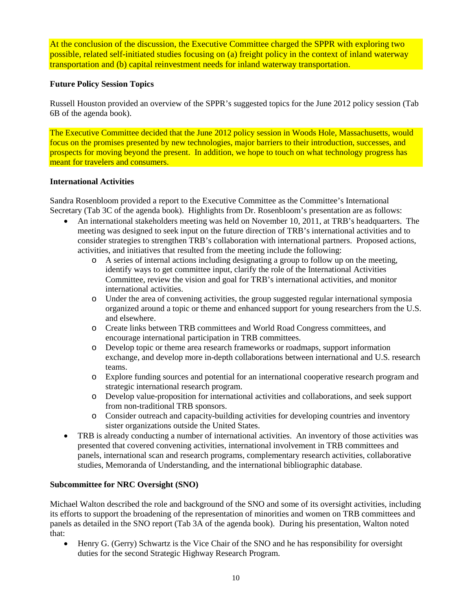At the conclusion of the discussion, the Executive Committee charged the SPPR with exploring two possible, related self-initiated studies focusing on (a) freight policy in the context of inland waterway transportation and (b) capital reinvestment needs for inland waterway transportation.

### <span id="page-9-0"></span>**Future Policy Session Topics**

Russell Houston provided an overview of the SPPR's suggested topics for the June 2012 policy session (Tab 6B of the agenda book).

The Executive Committee decided that the June 2012 policy session in Woods Hole, Massachusetts, would focus on the promises presented by new technologies, major barriers to their introduction, successes, and prospects for moving beyond the present. In addition, we hope to touch on what technology progress has meant for travelers and consumers.

#### <span id="page-9-1"></span>**International Activities**

Sandra Rosenbloom provided a report to the Executive Committee as the Committee's International Secretary (Tab 3C of the agenda book). Highlights from Dr. Rosenbloom's presentation are as follows:

- An international stakeholders meeting was held on November 10, 2011, at TRB's headquarters. The meeting was designed to seek input on the future direction of TRB's international activities and to consider strategies to strengthen TRB's collaboration with international partners. Proposed actions, activities, and initiatives that resulted from the meeting include the following:
	- o A series of internal actions including designating a group to follow up on the meeting, identify ways to get committee input, clarify the role of the International Activities Committee, review the vision and goal for TRB's international activities, and monitor international activities.
	- o Under the area of convening activities, the group suggested regular international symposia organized around a topic or theme and enhanced support for young researchers from the U.S. and elsewhere.
	- o Create links between TRB committees and World Road Congress committees, and encourage international participation in TRB committees.
	- o Develop topic or theme area research frameworks or roadmaps, support information exchange, and develop more in-depth collaborations between international and U.S. research teams.
	- o Explore funding sources and potential for an international cooperative research program and strategic international research program.
	- o Develop value-proposition for international activities and collaborations, and seek support from non-traditional TRB sponsors.
	- o Consider outreach and capacity-building activities for developing countries and inventory sister organizations outside the United States.
- TRB is already conducting a number of international activities. An inventory of those activities was presented that covered convening activities, international involvement in TRB committees and panels, international scan and research programs, complementary research activities, collaborative studies, Memoranda of Understanding, and the international bibliographic database.

## <span id="page-9-2"></span>**Subcommittee for NRC Oversight (SNO)**

Michael Walton described the role and background of the SNO and some of its oversight activities, including its efforts to support the broadening of the representation of minorities and women on TRB committees and panels as detailed in the SNO report (Tab 3A of the agenda book). During his presentation, Walton noted that:

• Henry G. (Gerry) Schwartz is the Vice Chair of the SNO and he has responsibility for oversight duties for the second Strategic Highway Research Program.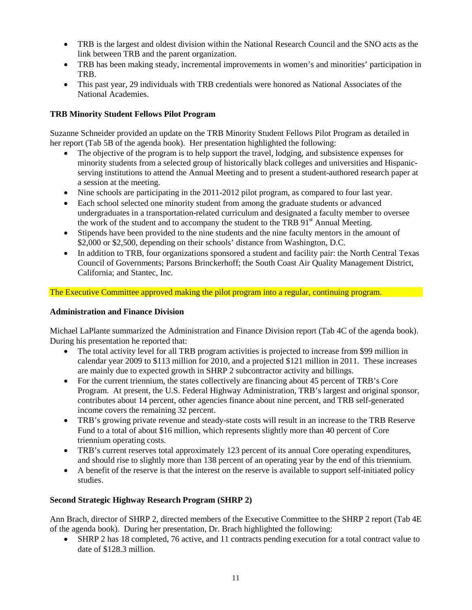- TRB is the largest and oldest division within the National Research Council and the SNO acts as the link between TRB and the parent organization.
- TRB has been making steady, incremental improvements in women's and minorities' participation in TRB.
- This past year, 29 individuals with TRB credentials were honored as National Associates of the National Academies.

# <span id="page-10-0"></span>**TRB Minority Student Fellows Pilot Program**

Suzanne Schneider provided an update on the TRB Minority Student Fellows Pilot Program as detailed in her report (Tab 5B of the agenda book). Her presentation highlighted the following:

- The objective of the program is to help support the travel, lodging, and subsistence expenses for minority students from a selected group of historically black colleges and universities and Hispanicserving institutions to attend the Annual Meeting and to present a student-authored research paper at a session at the meeting.
- Nine schools are participating in the 2011-2012 pilot program, as compared to four last year.
- Each school selected one minority student from among the graduate students or advanced undergraduates in a transportation-related curriculum and designated a faculty member to oversee the work of the student and to accompany the student to the TRB  $91<sup>st</sup>$  Annual Meeting.
- Stipends have been provided to the nine students and the nine faculty mentors in the amount of \$2,000 or \$2,500, depending on their schools' distance from Washington, D.C.
- In addition to TRB, four organizations sponsored a student and facility pair: the North Central Texas Council of Governments; Parsons Brinckerhoff; the South Coast Air Quality Management District, California; and Stantec, Inc.

The Executive Committee approved making the pilot program into a regular, continuing program.

## <span id="page-10-1"></span>**Administration and Finance Division**

Michael LaPlante summarized the Administration and Finance Division report (Tab 4C of the agenda book). During his presentation he reported that:

- The total activity level for all TRB program activities is projected to increase from \$99 million in calendar year 2009 to \$113 million for 2010, and a projected \$121 million in 2011. These increases are mainly due to expected growth in SHRP 2 subcontractor activity and billings.
- For the current triennium, the states collectively are financing about 45 percent of TRB's Core Program. At present, the U.S. Federal Highway Administration, TRB's largest and original sponsor, contributes about 14 percent, other agencies finance about nine percent, and TRB self-generated income covers the remaining 32 percent.
- TRB's growing private revenue and steady-state costs will result in an increase to the TRB Reserve Fund to a total of about \$16 million, which represents slightly more than 40 percent of Core triennium operating costs.
- TRB's current reserves total approximately 123 percent of its annual Core operating expenditures, and should rise to slightly more than 138 percent of an operating year by the end of this triennium.
- A benefit of the reserve is that the interest on the reserve is available to support self-initiated policy studies.

## <span id="page-10-2"></span>**Second Strategic Highway Research Program (SHRP 2)**

Ann Brach, director of SHRP 2, directed members of the Executive Committee to the SHRP 2 report (Tab 4E of the agenda book). During her presentation, Dr. Brach highlighted the following:

• SHRP 2 has 18 completed, 76 active, and 11 contracts pending execution for a total contract value to date of \$128.3 million.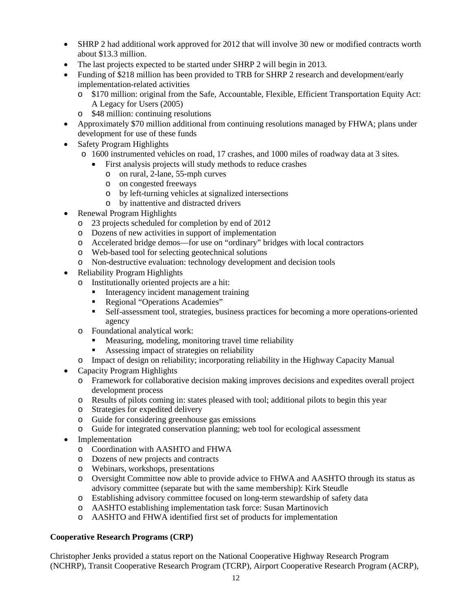- SHRP 2 had additional work approved for 2012 that will involve 30 new or modified contracts worth about \$13.3 million.
- The last projects expected to be started under SHRP 2 will begin in 2013.
- Funding of \$218 million has been provided to TRB for SHRP 2 research and development/early implementation-related activities
	- o \$170 million: original from the Safe, Accountable, Flexible, Efficient Transportation Equity Act: A Legacy for Users (2005)
	- o \$48 million: continuing resolutions
- Approximately \$70 million additional from continuing resolutions managed by FHWA; plans under development for use of these funds
- Safety Program Highlights
	- o 1600 instrumented vehicles on road, 17 crashes, and 1000 miles of roadway data at 3 sites.
		- First analysis projects will study methods to reduce crashes
			- o on rural, 2-lane, 55-mph curves
			- o on congested freeways
			- o by left-turning vehicles at signalized intersections
			- o by inattentive and distracted drivers
- Renewal Program Highlights
	- o 23 projects scheduled for completion by end of 2012
	- o Dozens of new activities in support of implementation
	- o Accelerated bridge demos—for use on "ordinary" bridges with local contractors
	- o Web-based tool for selecting geotechnical solutions
	- o Non-destructive evaluation: technology development and decision tools
- Reliability Program Highlights
	- o Institutionally oriented projects are a hit:
		- Interagency incident management training
		- Regional "Operations Academies"
		- Self-assessment tool, strategies, business practices for becoming a more operations-oriented agency
	- o Foundational analytical work:
		- Measuring, modeling, monitoring travel time reliability
		- Assessing impact of strategies on reliability
	- o Impact of design on reliability; incorporating reliability in the Highway Capacity Manual
- Capacity Program Highlights
	- o Framework for collaborative decision making improves decisions and expedites overall project development process
	- o Results of pilots coming in: states pleased with tool; additional pilots to begin this year
	- o Strategies for expedited delivery
	- o Guide for considering greenhouse gas emissions
	- o Guide for integrated conservation planning; web tool for ecological assessment
- **Implementation** 
	- o Coordination with AASHTO and FHWA
	- o Dozens of new projects and contracts
	- o Webinars, workshops, presentations
	- o Oversight Committee now able to provide advice to FHWA and AASHTO through its status as advisory committee (separate but with the same membership): Kirk Steudle
	- o Establishing advisory committee focused on long-term stewardship of safety data
	- o AASHTO establishing implementation task force: Susan Martinovich
	- o AASHTO and FHWA identified first set of products for implementation

#### <span id="page-11-0"></span>**Cooperative Research Programs (CRP)**

Christopher Jenks provided a status report on the National Cooperative Highway Research Program (NCHRP), Transit Cooperative Research Program (TCRP), Airport Cooperative Research Program (ACRP),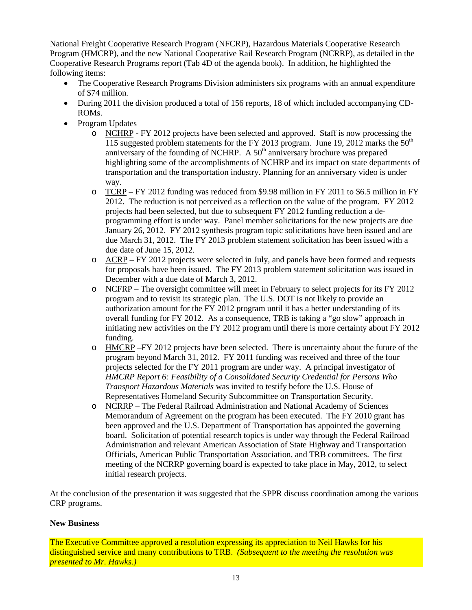National Freight Cooperative Research Program (NFCRP), Hazardous Materials Cooperative Research Program (HMCRP), and the new National Cooperative Rail Research Program (NCRRP), as detailed in the Cooperative Research Programs report (Tab 4D of the agenda book). In addition, he highlighted the following items:

- The Cooperative Research Programs Division administers six programs with an annual expenditure of \$74 million.
- During 2011 the division produced a total of 156 reports, 18 of which included accompanying CD-ROMs.
- Program Updates
	- o NCHRP FY 2012 projects have been selected and approved. Staff is now processing the 115 suggested problem statements for the FY 2013 program. June 19, 2012 marks the  $50<sup>th</sup>$ anniversary of the founding of NCHRP. A  $50<sup>th</sup>$  anniversary brochure was prepared highlighting some of the accomplishments of NCHRP and its impact on state departments of transportation and the transportation industry. Planning for an anniversary video is under way.
	- o TCRP FY 2012 funding was reduced from \$9.98 million in FY 2011 to \$6.5 million in FY 2012. The reduction is not perceived as a reflection on the value of the program. FY 2012 projects had been selected, but due to subsequent FY 2012 funding reduction a deprogramming effort is under way. Panel member solicitations for the new projects are due January 26, 2012. FY 2012 synthesis program topic solicitations have been issued and are due March 31, 2012. The FY 2013 problem statement solicitation has been issued with a due date of June 15, 2012.
	- o ACRP FY 2012 projects were selected in July, and panels have been formed and requests for proposals have been issued. The FY 2013 problem statement solicitation was issued in December with a due date of March 3, 2012.
	- o NCFRP The oversight committee will meet in February to select projects for its FY 2012 program and to revisit its strategic plan. The U.S. DOT is not likely to provide an authorization amount for the FY 2012 program until it has a better understanding of its overall funding for FY 2012. As a consequence, TRB is taking a "go slow" approach in initiating new activities on the FY 2012 program until there is more certainty about FY 2012 funding.
	- o HMCRP –FY 2012 projects have been selected. There is uncertainty about the future of the program beyond March 31, 2012. FY 2011 funding was received and three of the four projects selected for the FY 2011 program are under way. A principal investigator of *HMCRP Report 6: Feasibility of a Consolidated Security Credential for Persons Who Transport Hazardous Materials* was invited to testify before the U.S. House of Representatives Homeland Security Subcommittee on Transportation Security.
	- o NCRRP The Federal Railroad Administration and National Academy of Sciences Memorandum of Agreement on the program has been executed. The FY 2010 grant has been approved and the U.S. Department of Transportation has appointed the governing board. Solicitation of potential research topics is under way through the Federal Railroad Administration and relevant American Association of State Highway and Transportation Officials, American Public Transportation Association, and TRB committees. The first meeting of the NCRRP governing board is expected to take place in May, 2012, to select initial research projects.

At the conclusion of the presentation it was suggested that the SPPR discuss coordination among the various CRP programs.

## <span id="page-12-0"></span>**New Business**

The Executive Committee approved a resolution expressing its appreciation to Neil Hawks for his distinguished service and many contributions to TRB. *(Subsequent to the meeting the resolution was presented to Mr. Hawks.)*